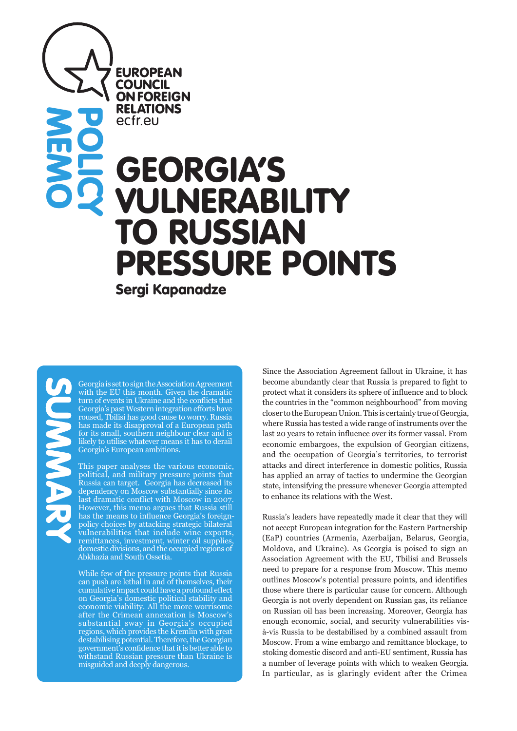# GEORGIA'S **ILNERABILITY O RUSSIAN** PRESSURE POINTS **POLICY**

Sergi Kapanadze

**EUROPEAN COUNCIL ON FOREIGN RELATIONS** ecfr.eu

**MEMO** 

Georgia is set to sign the Association Agreement with the EU this month. Given the dramatic turn of events in Ukraine and the conflicts that Georgia's past Western integration efforts have roused, Tbilisi has good cause to worry. Russia has made its disapproval of a European path for its small, southern neighbour clear and is likely to utilise whatever means it has to derail Georgia's European ambitions.

This paper analyses the various economic, political, and military pressure points that Russia can target. Georgia has decreased its dependency on Moscow substantially since its last dramatic conflict with Moscow in 2007. However, this memo argues that Russia still has the means to influence Georgia's foreignpolicy choices by attacking strategic bilateral vulnerabilities that include wine exports, remittances, investment, winter oil supplies, domestic divisions, and the occupied regions of Abkhazia and South Ossetia.

While few of the pressure points that Russia can push are lethal in and of themselves, their cumulative impact could have a profound effect on Georgia's domestic political stability and economic viability. All the more worrisome after the Crimean annexation is Moscow's substantial sway in Georgia's occupied regions, which provides the Kremlin with great destabilising potential. Therefore, the Georgian government's confidence that it is better able to withstand Russian pressure than Ukraine is misguided and deeply dangerous.

Since the Association Agreement fallout in Ukraine, it has become abundantly clear that Russia is prepared to fight to protect what it considers its sphere of influence and to block the countries in the "common neighbourhood" from moving closer to the European Union. This is certainly true of Georgia, where Russia has tested a wide range of instruments over the last 20 years to retain influence over its former vassal. From economic embargoes, the expulsion of Georgian citizens, and the occupation of Georgia's territories, to terrorist attacks and direct interference in domestic politics, Russia has applied an array of tactics to undermine the Georgian state, intensifying the pressure whenever Georgia attempted to enhance its relations with the West.

Russia's leaders have repeatedly made it clear that they will not accept European integration for the Eastern Partnership (EaP) countries (Armenia, Azerbaijan, Belarus, Georgia, Moldova, and Ukraine). As Georgia is poised to sign an Association Agreement with the EU, Tbilisi and Brussels need to prepare for a response from Moscow. This memo outlines Moscow's potential pressure points, and identifies those where there is particular cause for concern. Although Georgia is not overly dependent on Russian gas, its reliance on Russian oil has been increasing. Moreover, Georgia has enough economic, social, and security vulnerabilities visà-vis Russia to be destabilised by a combined assault from Moscow. From a wine embargo and remittance blockage, to stoking domestic discord and anti-EU sentiment, Russia has a number of leverage points with which to weaken Georgia. In particular, as is glaringly evident after the Crimea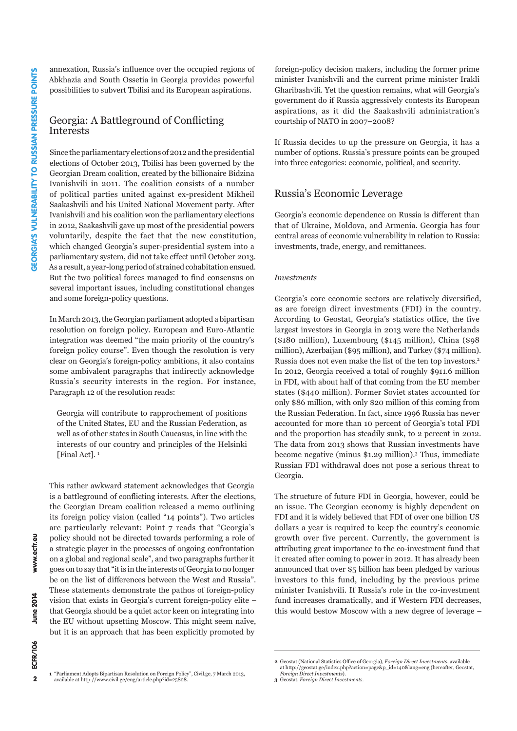annexation, Russia's influence over the occupied regions of Abkhazia and South Ossetia in Georgia provides powerful possibilities to subvert Tbilisi and its European aspirations.

## Georgia: A Battleground of Conflicting Interests

Since the parliamentary elections of 2012 and the presidential elections of October 2013, Tbilisi has been governed by the Georgian Dream coalition, created by the billionaire Bidzina Ivanishvili in 2011. The coalition consists of a number of political parties united against ex-president Mikheil Saakashvili and his United National Movement party. After Ivanishvili and his coalition won the parliamentary elections in 2012, Saakashvili gave up most of the presidential powers voluntarily, despite the fact that the new constitution, which changed Georgia's super-presidential system into a parliamentary system, did not take effect until October 2013. As a result, a year-long period of strained cohabitation ensued. But the two political forces managed to find consensus on several important issues, including constitutional changes and some foreign-policy questions.

In March 2013, the Georgian parliament adopted a bipartisan resolution on foreign policy. European and Euro-Atlantic integration was deemed "the main priority of the country's foreign policy course". Even though the resolution is very clear on Georgia's foreign-policy ambitions, it also contains some ambivalent paragraphs that indirectly acknowledge Russia's security interests in the region. For instance, Paragraph 12 of the resolution reads:

Georgia will contribute to rapprochement of positions of the United States, EU and the Russian Federation, as well as of other states in South Caucasus, in line with the interests of our country and principles of the Helsinki [Final Act].<sup>1</sup>

This rather awkward statement acknowledges that Georgia is a battleground of conflicting interests. After the elections, the Georgian Dream coalition released a memo outlining its foreign policy vision (called "14 points"). Two articles are particularly relevant: Point 7 reads that "Georgia's policy should not be directed towards performing a role of a strategic player in the processes of ongoing confrontation on a global and regional scale", and two paragraphs further it goes on to say that "it is in the interests of Georgia to no longer be on the list of differences between the West and Russia". These statements demonstrate the pathos of foreign-policy vision that exists in Georgia's current foreign-policy elite – that Georgia should be a quiet actor keen on integrating into the EU without upsetting Moscow. This might seem naïve, but it is an approach that has been explicitly promoted by

foreign-policy decision makers, including the former prime minister Ivanishvili and the current prime minister Irakli Gharibashvili. Yet the question remains, what will Georgia's government do if Russia aggressively contests its European aspirations, as it did the Saakashvili administration's courtship of NATO in 2007–2008?

If Russia decides to up the pressure on Georgia, it has a number of options. Russia's pressure points can be grouped into three categories: economic, political, and security.

# Russia's Economic Leverage

Georgia's economic dependence on Russia is different than that of Ukraine, Moldova, and Armenia. Georgia has four central areas of economic vulnerability in relation to Russia: investments, trade, energy, and remittances.

#### *Investments*

Georgia's core economic sectors are relatively diversified, as are foreign direct investments (FDI) in the country. According to Geostat, Georgia's statistics office, the five largest investors in Georgia in 2013 were the Netherlands (\$180 million), Luxembourg (\$145 million), China (\$98 million), Azerbaijan (\$95 million), and Turkey (\$74 million). Russia does not even make the list of the ten top investors.2 In 2012, Georgia received a total of roughly \$911.6 million in FDI, with about half of that coming from the EU member states (\$440 million). Former Soviet states accounted for only \$86 million, with only \$20 million of this coming from the Russian Federation. In fact, since 1996 Russia has never accounted for more than 10 percent of Georgia's total FDI and the proportion has steadily sunk, to 2 percent in 2012. The data from 2013 shows that Russian investments have become negative (minus \$1.29 million).3 Thus, immediate Russian FDI withdrawal does not pose a serious threat to Georgia.

The structure of future FDI in Georgia, however, could be an issue. The Georgian economy is highly dependent on FDI and it is widely believed that FDI of over one billion US dollars a year is required to keep the country's economic growth over five percent. Currently, the government is attributing great importance to the co-investment fund that it created after coming to power in 2012. It has already been announced that over \$5 billion has been pledged by various investors to this fund, including by the previous prime minister Ivanishvili. If Russia's role in the co-investment fund increases dramatically, and if Western FDI decreases, this would bestow Moscow with a new degree of leverage –

 $\overline{\mathbf{2}}$ 

www.ecfr.eu

**June 2014** ECFR/106

**<sup>1</sup>** "Parliament Adopts Bipartisan Resolution on Foreign Policy", Civil.ge, 7 March 2013, available at http://www.civil.ge/eng/article.php?id=25828.

**<sup>2</sup>** Geostat (National Statistics Office of Georgia), *Foreign Direct Investments*, available at http://geostat.ge/index.php?action=page&p\_id=140&lang=eng (hereafter, Geostat, *Foreign Direct Investments*).

**<sup>3</sup>** Geostat, *Foreign Direct Investments*.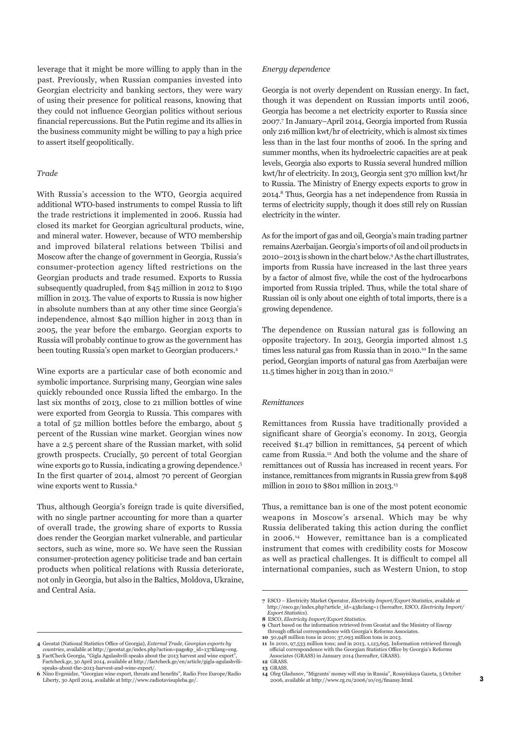leverage that it might be more willing to apply than in the past. Previously, when Russian companies invested into Georgian electricity and banking sectors, they were wary of using their presence for political reasons, knowing that they could not influence Georgian politics without serious financial repercussions. But the Putin regime and its allies in the business community might be willing to pay a high price to assert itself geopolitically.

#### *Trade*

With Russia's accession to the WTO, Georgia acquired additional WTO-based instruments to compel Russia to lift the trade restrictions it implemented in 2006. Russia had closed its market for Georgian agricultural products, wine, and mineral water. However, because of WTO membership and improved bilateral relations between Tbilisi and Moscow after the change of government in Georgia, Russia's consumer-protection agency lifted restrictions on the Georgian products and trade resumed. Exports to Russia subsequently quadrupled, from \$45 million in 2012 to \$190 million in 2013. The value of exports to Russia is now higher in absolute numbers than at any other time since Georgia's independence, almost \$40 million higher in 2013 than in 2005, the year before the embargo. Georgian exports to Russia will probably continue to grow as the government has been touting Russia's open market to Georgian producers.4

Wine exports are a particular case of both economic and symbolic importance. Surprising many, Georgian wine sales quickly rebounded once Russia lifted the embargo. In the last six months of 2013, close to 21 million bottles of wine were exported from Georgia to Russia. This compares with a total of 52 million bottles before the embargo, about 5 percent of the Russian wine market. Georgian wines now have a 2.5 percent share of the Russian market, with solid growth prospects. Crucially, 50 percent of total Georgian wine exports go to Russia, indicating a growing dependence.<sup>5</sup> In the first quarter of 2014, almost 70 percent of Georgian wine exports went to Russia.6

Thus, although Georgia's foreign trade is quite diversified, with no single partner accounting for more than a quarter of overall trade, the growing share of exports to Russia does render the Georgian market vulnerable, and particular sectors, such as wine, more so. We have seen the Russian consumer-protection agency politicise trade and ban certain products when political relations with Russia deteriorate, not only in Georgia, but also in the Baltics, Moldova, Ukraine, and Central Asia.

- **4** Geostat (National Statistics Office of Georgia), *External Trade, Georgian exports by*
- *countries*, available at http://geostat.ge/index.php?action=page&p\_id=137&lang=eng. **5** FactCheck Georgia, "Gigla Agulashvili speaks about the 2013 harvest and wine export", Factcheck.ge, 30 April 2014, available at http://factcheck.ge/en/article/gigla-agulashvili-
- speaks-about-the-2013-harvest-and-wine-export/. **6** Nino Evgenidze, "Georgian wine export, threats and benefits", Radio Free Europe/Radio Liberty, 30 April 2014, available at http://www.radiotavisupleba.ge/.

#### *Energy dependence*

Georgia is not overly dependent on Russian energy. In fact, though it was dependent on Russian imports until 2006, Georgia has become a net electricity exporter to Russia since 2007.7 In January–April 2014, Georgia imported from Russia only 216 million kwt/hr of electricity, which is almost six times less than in the last four months of 2006. In the spring and summer months, when its hydroelectric capacities are at peak levels, Georgia also exports to Russia several hundred million kwt/hr of electricity. In 2013, Georgia sent 370 million kwt/hr to Russia. The Ministry of Energy expects exports to grow in 2014.8 Thus, Georgia has a net independence from Russia in terms of electricity supply, though it does still rely on Russian electricity in the winter.

As for the import of gas and oil, Georgia's main trading partner remains Azerbaijan. Georgia's imports of oil and oil products in 2010–2013 is shown in the chart below.9 As the chart illustrates, imports from Russia have increased in the last three years by a factor of almost five, while the cost of the hydrocarbons imported from Russia tripled. Thus, while the total share of Russian oil is only about one eighth of total imports, there is a growing dependence.

The dependence on Russian natural gas is following an opposite trajectory. In 2013, Georgia imported almost 1.5 times less natural gas from Russia than in 2010.<sup>10</sup> In the same period, Georgian imports of natural gas from Azerbaijan were 11.5 times higher in 2013 than in 2010.<sup>11</sup>

#### *Remittances*

Remittances from Russia have traditionally provided a significant share of Georgia's economy. In 2013, Georgia received \$1.47 billion in remittances, 54 percent of which came from Russia.12 And both the volume and the share of remittances out of Russia has increased in recent years. For instance, remittances from migrants in Russia grew from \$498 million in 2010 to \$801 million in 2013.<sup>13</sup>

Thus, a remittance ban is one of the most potent economic weapons in Moscow's arsenal. Which may be why Russia deliberated taking this action during the conflict in 2006.14 However, remittance ban is a complicated instrument that comes with credibility costs for Moscow as well as practical challenges. It is difficult to compel all international companies, such as Western Union, to stop

**<sup>7</sup>** ESCO – Electricity Market Operator, *Electricity Import/Export Statistics*, available at http://esco.ge/index.php?article\_id=43&clang=1 (hereafter, ESCO, *Electricity Import/*

*Export Statistics*). **8** ESCO, *Electricity Import/Export Statistics*.

**<sup>9</sup>** Chart based on the information retrieved from Geostat and the Ministry of Energy through official correspondence with Georgia's Reforms Associates.

**<sup>10</sup>** 50,948 million tons in 2010; 37,093 million tons in 2013. **11** In 2010, 97,533 million tons; and in 2013, 1,123,695. Information retrieved through official correspondence with the Georgian Statistics Office by Georgia's Reforms Associates (GRASS) in January 2014 (hereafter, GRASS).

**<sup>12</sup>** GRASS.

**<sup>13</sup>** GRASS.

**<sup>14</sup>** Oleg Gladunov, "Migrants' money will stay in Russia", Rossyiskaya Gazeta, 5 October 2006, available at http://www.rg.ru/2006/10/05/finansy.html.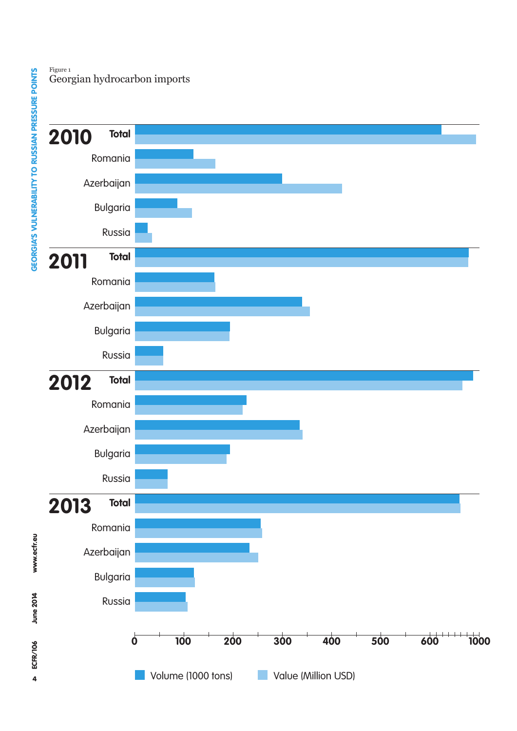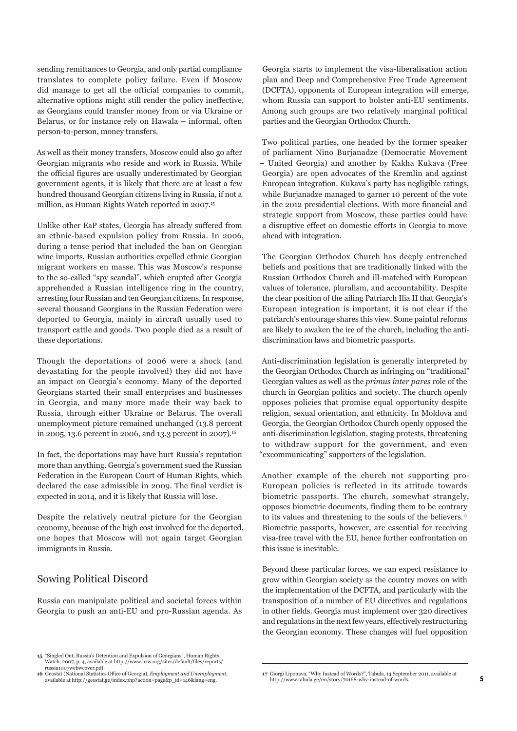sending remittances to Georgia, and only partial compliance translates to complete policy failure. Even if Moscow did manage to get all the official companies to commit, alternative options might still render the policy ineffective, as Georgians could transfer money from or via Ukraine or Belarus, or for instance rely on Hawala – informal, often person-to-person, money transfers.

As well as their money transfers, Moscow could also go after Georgian migrants who reside and work in Russia. While the official figures are usually underestimated by Georgian government agents, it is likely that there are at least a few hundred thousand Georgian citizens living in Russia, if not a million, as Human Rights Watch reported in 2007.<sup>15</sup>

Unlike other EaP states, Georgia has already suffered from an ethnic-based expulsion policy from Russia. In 2006, during a tense period that included the ban on Georgian wine imports, Russian authorities expelled ethnic Georgian migrant workers en masse. This was Moscow's response to the so-called "spy scandal", which erupted after Georgia apprehended a Russian intelligence ring in the country, arresting four Russian and ten Georgian citizens. In response, several thousand Georgians in the Russian Federation were deported to Georgia, mainly in aircraft usually used to transport cattle and goods. Two people died as a result of these deportations.

Though the deportations of 2006 were a shock (and devastating for the people involved) they did not have an impact on Georgia's economy. Many of the deported Georgians started their small enterprises and businesses in Georgia, and many more made their way back to Russia, through either Ukraine or Belarus. The overall unemployment picture remained unchanged (13.8 percent in 2005, 13.6 percent in 2006, and 13.3 percent in 2007).<sup>16</sup>

In fact, the deportations may have hurt Russia's reputation more than anything. Georgia's government sued the Russian Federation in the European Court of Human Rights, which declared the case admissible in 2009. The final verdict is expected in 2014, and it is likely that Russia will lose.

Despite the relatively neutral picture for the Georgian economy, because of the high cost involved for the deported, one hopes that Moscow will not again target Georgian immigrants in Russia.

### Sowing Political Discord

Russia can manipulate political and societal forces within Georgia to push an anti-EU and pro-Russian agenda. As Georgia starts to implement the visa-liberalisation action plan and Deep and Comprehensive Free Trade Agreement (DCFTA), opponents of European integration will emerge, whom Russia can support to bolster anti-EU sentiments. Among such groups are two relatively marginal political parties and the Georgian Orthodox Church.

Two political parties, one headed by the former speaker of parliament Nino Burjanadze (Democratic Movement – United Georgia) and another by Kakha Kukava (Free Georgia) are open advocates of the Kremlin and against European integration. Kukava's party has negligible ratings, while Burjanadze managed to garner 10 percent of the vote in the 2012 presidential elections. With more financial and strategic support from Moscow, these parties could have a disruptive effect on domestic efforts in Georgia to move ahead with integration.

The Georgian Orthodox Church has deeply entrenched beliefs and positions that are traditionally linked with the Russian Orthodox Church and ill-matched with European values of tolerance, pluralism, and accountability. Despite the clear position of the ailing Patriarch Ilia II that Georgia's European integration is important, it is not clear if the patriarch's entourage shares this view. Some painful reforms are likely to awaken the ire of the church, including the antidiscrimination laws and biometric passports.

Anti-discrimination legislation is generally interpreted by the Georgian Orthodox Church as infringing on "traditional" Georgian values as well as the *primus inter pares* role of the church in Georgian politics and society. The church openly opposes policies that promise equal opportunity despite religion, sexual orientation, and ethnicity. In Moldova and Georgia, the Georgian Orthodox Church openly opposed the anti-discrimination legislation, staging protests, threatening to withdraw support for the government, and even "excommunicating" supporters of the legislation.

Another example of the church not supporting pro-European policies is reflected in its attitude towards biometric passports. The church, somewhat strangely, opposes biometric documents, finding them to be contrary to its values and threatening to the souls of the believers.17 Biometric passports, however, are essential for receiving visa-free travel with the EU, hence further confrontation on this issue is inevitable.

Beyond these particular forces, we can expect resistance to grow within Georgian society as the country moves on with the implementation of the DCFTA, and particularly with the transposition of a number of EU directives and regulations in other fields. Georgia must implement over 320 directives and regulations in the next few years, effectively restructuring the Georgian economy. These changes will fuel opposition

**<sup>15</sup>** "Singled Out. Russia's Detention and Expulsion of Georgians", Human Rights Watch, 2007, p. 4, available at http://www.hrw.org/sites/default/files/reports/ russia1007webwcover.pdf.

**<sup>16</sup>** Geostat (National Statistics Office of Georgia), *Employment and Unemployment*, available at http://geostat.ge/index.php?action=page&p\_id=146&lang=eng.

**<sup>17</sup>** Giorgi Liponava, "Why Instead of Words?", Tabula, 14 September 2011, available at http://www.tabula.ge/en/story/70168-why-instead-of-words.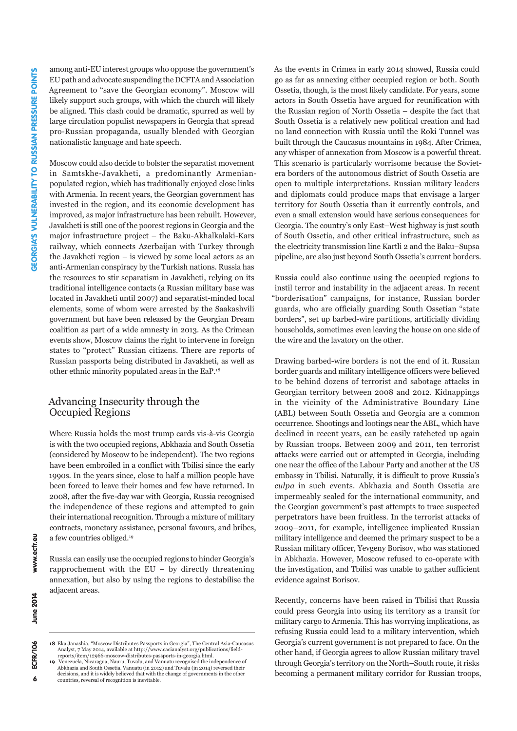among anti-EU interest groups who oppose the government's EU path and advocate suspending the DCFTA and Association Agreement to "save the Georgian economy". Moscow will likely support such groups, with which the church will likely be aligned. This clash could be dramatic, spurred as well by large circulation populist newspapers in Georgia that spread pro-Russian propaganda, usually blended with Georgian nationalistic language and hate speech.

Moscow could also decide to bolster the separatist movement in Samtskhe-Javakheti, a predominantly Armenianpopulated region, which has traditionally enjoyed close links with Armenia. In recent years, the Georgian government has invested in the region, and its economic development has improved, as major infrastructure has been rebuilt. However, Javakheti is still one of the poorest regions in Georgia and the major infrastructure project – the Baku-Akhalkalaki-Kars railway, which connects Azerbaijan with Turkey through the Javakheti region – is viewed by some local actors as an anti-Armenian conspiracy by the Turkish nations. Russia has the resources to stir separatism in Javakheti, relying on its traditional intelligence contacts (a Russian military base was located in Javakheti until 2007) and separatist-minded local elements, some of whom were arrested by the Saakashvili government but have been released by the Georgian Dream coalition as part of a wide amnesty in 2013. As the Crimean events show, Moscow claims the right to intervene in foreign states to "protect" Russian citizens. There are reports of Russian passports being distributed in Javakheti, as well as other ethnic minority populated areas in the EaP.18

## Advancing Insecurity through the Occupied Regions

Where Russia holds the most trump cards vis-à-vis Georgia is with the two occupied regions, Abkhazia and South Ossetia (considered by Moscow to be independent). The two regions have been embroiled in a conflict with Tbilisi since the early 1990s. In the years since, close to half a million people have been forced to leave their homes and few have returned. In 2008, after the five-day war with Georgia, Russia recognised the independence of these regions and attempted to gain their international recognition. Through a mixture of military contracts, monetary assistance, personal favours, and bribes, a few countries obliged.19

Russia can easily use the occupied regions to hinder Georgia's rapprochement with the  $EU - by$  directly threatening annexation, but also by using the regions to destabilise the adjacent areas.

As the events in Crimea in early 2014 showed, Russia could go as far as annexing either occupied region or both. South Ossetia, though, is the most likely candidate. For years, some actors in South Ossetia have argued for reunification with the Russian region of North Ossetia – despite the fact that South Ossetia is a relatively new political creation and had no land connection with Russia until the Roki Tunnel was built through the Caucasus mountains in 1984. After Crimea, any whisper of annexation from Moscow is a powerful threat. This scenario is particularly worrisome because the Sovietera borders of the autonomous district of South Ossetia are open to multiple interpretations. Russian military leaders and diplomats could produce maps that envisage a larger territory for South Ossetia than it currently controls, and even a small extension would have serious consequences for Georgia. The country's only East–West highway is just south of South Ossetia, and other critical infrastructure, such as the electricity transmission line Kartli 2 and the Baku–Supsa pipeline, are also just beyond South Ossetia's current borders.

Russia could also continue using the occupied regions to instil terror and instability in the adjacent areas. In recent "borderisation" campaigns, for instance, Russian border guards, who are officially guarding South Ossetian "state borders", set up barbed-wire partitions, artificially dividing households, sometimes even leaving the house on one side of the wire and the lavatory on the other.

Drawing barbed-wire borders is not the end of it. Russian border guards and military intelligence officers were believed to be behind dozens of terrorist and sabotage attacks in Georgian territory between 2008 and 2012. Kidnappings in the vicinity of the Administrative Boundary Line (ABL) between South Ossetia and Georgia are a common occurrence. Shootings and lootings near the ABL, which have declined in recent years, can be easily ratcheted up again by Russian troops. Between 2009 and 2011, ten terrorist attacks were carried out or attempted in Georgia, including one near the office of the Labour Party and another at the US embassy in Tbilisi. Naturally, it is difficult to prove Russia's *culpa* in such events. Abkhazia and South Ossetia are impermeably sealed for the international community, and the Georgian government's past attempts to trace suspected perpetrators have been fruitless. In the terrorist attacks of 2009–2011, for example, intelligence implicated Russian military intelligence and deemed the primary suspect to be a Russian military officer, Yevgeny Borisov, who was stationed in Abkhazia. However, Moscow refused to co-operate with the investigation, and Tbilisi was unable to gather sufficient evidence against Borisov.

Recently, concerns have been raised in Tbilisi that Russia could press Georgia into using its territory as a transit for military cargo to Armenia. This has worrying implications, as refusing Russia could lead to a military intervention, which Georgia's current government is not prepared to face. On the other hand, if Georgia agrees to allow Russian military travel through Georgia's territory on the North–South route, it risks becoming a permanent military corridor for Russian troops,

www.ecfr.eu

**<sup>18</sup>** Eka Janashia, "Moscow Distributes Passports in Georgia", The Central Asia-Caucasus Analyst, 7 May 2014, available at http://www.cacianalyst.org/publications/field-<br>reports/item/12966-moscow-distributes-passports-in-georgia.html.<br>19 Venezuela, Nicaragua, Nauru, Tuvalu, and Vanuatu recognised the independe

Abkhazia and South Ossetia. Vanuatu (in 2012) and Tuvalu (in 2014) reversed their decisions, and it is widely believed that with the change of governments in the other countries, reversal of recognition is inevitable.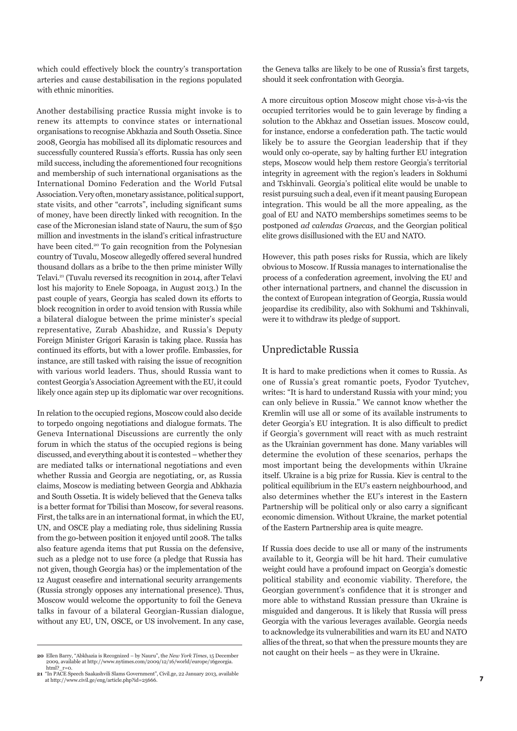which could effectively block the country's transportation arteries and cause destabilisation in the regions populated with ethnic minorities.

Another destabilising practice Russia might invoke is to renew its attempts to convince states or international organisations to recognise Abkhazia and South Ossetia. Since 2008, Georgia has mobilised all its diplomatic resources and successfully countered Russia's efforts. Russia has only seen mild success, including the aforementioned four recognitions and membership of such international organisations as the International Domino Federation and the World Futsal Association. Very often, monetary assistance, political support, state visits, and other "carrots", including significant sums of money, have been directly linked with recognition. In the case of the Micronesian island state of Nauru, the sum of \$50 million and investments in the island's critical infrastructure have been cited.<sup>20</sup> To gain recognition from the Polynesian country of Tuvalu, Moscow allegedly offered several hundred thousand dollars as a bribe to the then prime minister Willy Telavi.21 (Tuvalu reversed its recognition in 2014, after Telavi lost his majority to Enele Sopoaga, in August 2013.) In the past couple of years, Georgia has scaled down its efforts to block recognition in order to avoid tension with Russia while a bilateral dialogue between the prime minister's special representative, Zurab Abashidze, and Russia's Deputy Foreign Minister Grigori Karasin is taking place. Russia has continued its efforts, but with a lower profile. Embassies, for instance, are still tasked with raising the issue of recognition with various world leaders. Thus, should Russia want to contest Georgia's Association Agreement with the EU, it could likely once again step up its diplomatic war over recognitions.

In relation to the occupied regions, Moscow could also decide to torpedo ongoing negotiations and dialogue formats. The Geneva International Discussions are currently the only forum in which the status of the occupied regions is being discussed, and everything about it is contested – whether they are mediated talks or international negotiations and even whether Russia and Georgia are negotiating, or, as Russia claims, Moscow is mediating between Georgia and Abkhazia and South Ossetia. It is widely believed that the Geneva talks is a better format for Tbilisi than Moscow, for several reasons. First, the talks are in an international format, in which the EU, UN, and OSCE play a mediating role, thus sidelining Russia from the go-between position it enjoyed until 2008. The talks also feature agenda items that put Russia on the defensive, such as a pledge not to use force (a pledge that Russia has not given, though Georgia has) or the implementation of the 12 August ceasefire and international security arrangements (Russia strongly opposes any international presence). Thus, Moscow would welcome the opportunity to foil the Geneva talks in favour of a bilateral Georgian-Russian dialogue, without any EU, UN, OSCE, or US involvement. In any case,

the Geneva talks are likely to be one of Russia's first targets, should it seek confrontation with Georgia.

A more circuitous option Moscow might chose vis-à-vis the occupied territories would be to gain leverage by finding a solution to the Abkhaz and Ossetian issues. Moscow could, for instance, endorse a confederation path. The tactic would likely be to assure the Georgian leadership that if they would only co-operate, say by halting further EU integration steps, Moscow would help them restore Georgia's territorial integrity in agreement with the region's leaders in Sokhumi and Tskhinvali. Georgia's political elite would be unable to resist pursuing such a deal, even if it meant pausing European integration. This would be all the more appealing, as the goal of EU and NATO memberships sometimes seems to be postponed *ad calendas Graecas*, and the Georgian political elite grows disillusioned with the EU and NATO.

However, this path poses risks for Russia, which are likely obvious to Moscow. If Russia manages to internationalise the process of a confederation agreement, involving the EU and other international partners, and channel the discussion in the context of European integration of Georgia, Russia would jeopardise its credibility, also with Sokhumi and Tskhinvali, were it to withdraw its pledge of support.

# Unpredictable Russia

It is hard to make predictions when it comes to Russia. As one of Russia's great romantic poets, Fyodor Tyutchev, writes: "It is hard to understand Russia with your mind; you can only believe in Russia." We cannot know whether the Kremlin will use all or some of its available instruments to deter Georgia's EU integration. It is also difficult to predict if Georgia's government will react with as much restraint as the Ukrainian government has done. Many variables will determine the evolution of these scenarios, perhaps the most important being the developments within Ukraine itself. Ukraine is a big prize for Russia. Kiev is central to the political equilibrium in the EU's eastern neighbourhood, and also determines whether the EU's interest in the Eastern Partnership will be political only or also carry a significant economic dimension. Without Ukraine, the market potential of the Eastern Partnership area is quite meagre.

If Russia does decide to use all or many of the instruments available to it, Georgia will be hit hard. Their cumulative weight could have a profound impact on Georgia's domestic political stability and economic viability. Therefore, the Georgian government's confidence that it is stronger and more able to withstand Russian pressure than Ukraine is misguided and dangerous. It is likely that Russia will press Georgia with the various leverages available. Georgia needs to acknowledge its vulnerabilities and warn its EU and NATO allies of the threat, so that when the pressure mounts they are

**<sup>20</sup>** Ellen Barry, "Abkhazia is Recognized – by Nauru", the *New York Times*, 15 December not caught on their heels — as they were in Ukraine.<br>
2009, available at http://www.nytimes.com/2009/12/16/world/europe/16georgia.<br>

**<sup>21</sup>** "In PACE Speech Saakashvili Slams Government", Civil.ge, 22 January 2013, available at http://www.civil.ge/eng/article.php?id=25666.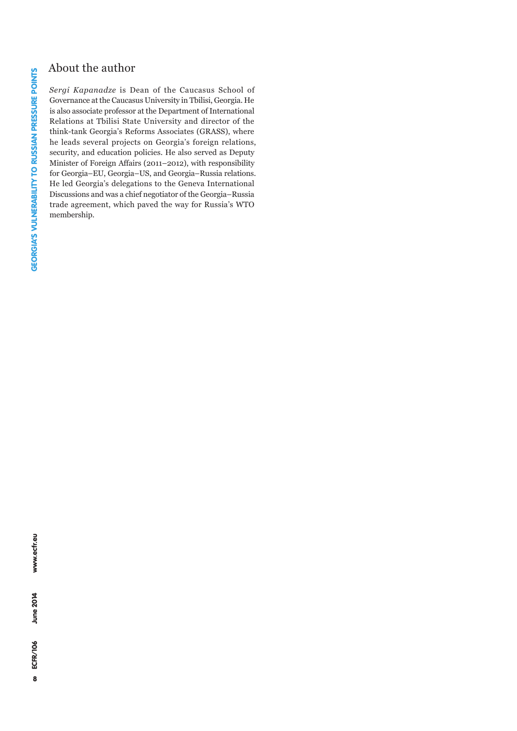# About the author

*Sergi Kapanadze* is Dean of the Caucasus School of Governance at the Caucasus University in Tbilisi, Georgia. He is also associate professor at the Department of International Relations at Tbilisi State University and director of the think-tank Georgia's Reforms Associates (GRASS), where he leads several projects on Georgia's foreign relations, security, and education policies. He also served as Deputy Minister of Foreign Affairs (2011–2012), with responsibility for Georgia–EU, Georgia–US, and Georgia–Russia relations. He led Georgia's delegations to the Geneva International Discussions and was a chief negotiator of the Georgia–Russia trade agreement, which paved the way for Russia's WTO membership.